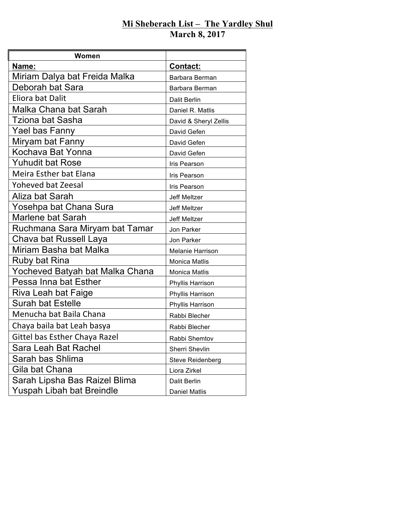## **Mi Sheberach List – The Yardley Shul March 8, 2017**

| Women                           |                         |
|---------------------------------|-------------------------|
| Name:                           | <b>Contact:</b>         |
| Miriam Dalya bat Freida Malka   | Barbara Berman          |
| Deborah bat Sara                | Barbara Berman          |
| Eliora bat Dalit                | <b>Dalit Berlin</b>     |
| Malka Chana bat Sarah           | Daniel R. Matlis        |
| Tziona bat Sasha                | David & Sheryl Zellis   |
| Yael bas Fanny                  | David Gefen             |
| Miryam bat Fanny                | David Gefen             |
| Kochava Bat Yonna               | David Gefen             |
| Yuhudit bat Rose                | Iris Pearson            |
| Meira Esther bat Elana          | Iris Pearson            |
| <b>Yoheved bat Zeesal</b>       | Iris Pearson            |
| Aliza bat Sarah                 | <b>Jeff Meltzer</b>     |
| Yosehpa bat Chana Sura          | Jeff Meltzer            |
| Marlene bat Sarah               | <b>Jeff Meltzer</b>     |
| Ruchmana Sara Miryam bat Tamar  | Jon Parker              |
| Chava bat Russell Laya          | Jon Parker              |
| Miriam Basha bat Malka          | <b>Melanie Harrison</b> |
| Ruby bat Rina                   | <b>Monica Matlis</b>    |
| Yocheved Batyah bat Malka Chana | <b>Monica Matlis</b>    |
| Pessa Inna bat Esther           | Phyllis Harrison        |
| Riva Leah bat Faige             | Phyllis Harrison        |
| <b>Surah bat Estelle</b>        | Phyllis Harrison        |
| Menucha bat Baila Chana         | Rabbi Blecher           |
| Chaya baila bat Leah basya      | Rabbi Blecher           |
| Gittel bas Esther Chaya Razel   | Rabbi Shemtov           |
| Sara Leah Bat Rachel            | Sherri Shevlin          |
| Sarah bas Shlima                | <b>Steve Reidenberg</b> |
| Gila bat Chana                  | Liora Zirkel            |
| Sarah Lipsha Bas Raizel Blima   | <b>Dalit Berlin</b>     |
| Yuspah Libah bat Breindle       | <b>Daniel Matlis</b>    |